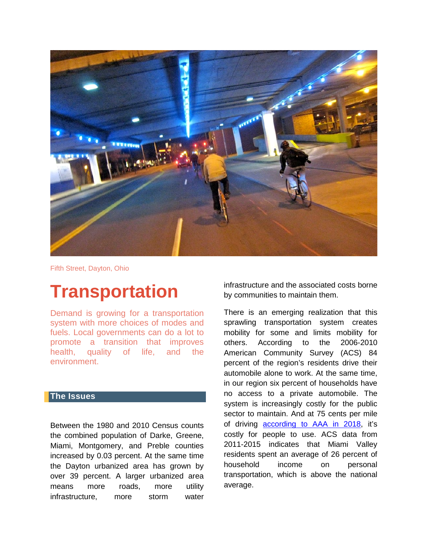

Fifth Street, Dayton, Ohio

# **Transportation**

Demand is growing for a transportation system with more choices of modes and fuels. Local governments can do a lot to promote a transition that improves health, quality of life, and the environment.

# **The Issues**

Between the 1980 and 2010 Census counts the combined population of Darke, Greene, Miami, Montgomery, and Preble counties increased by 0.03 percent. At the same time the Dayton urbanized area has grown by over 39 percent. A larger urbanized area means more roads, more utility infrastructure, more storm water

infrastructure and the associated costs borne by communities to maintain them.

There is an emerging realization that this sprawling transportation system creates mobility for some and limits mobility for others. According to the 2006-2010 American Community Survey (ACS) 84 percent of the region's residents drive their automobile alone to work. At the same time, in our region six percent of households have no access to a private automobile. The system is increasingly costly for the public sector to maintain. And at 75 cents per mile of driving [according to AAA in 2018,](https://exchange.aaa.com/automotive/driving-costs/#.XXOe_C5Khyw) it's costly for people to use. ACS data from 2011-2015 indicates that Miami Valley residents spent an average of 26 percent of household income on personal transportation, which is above the national average.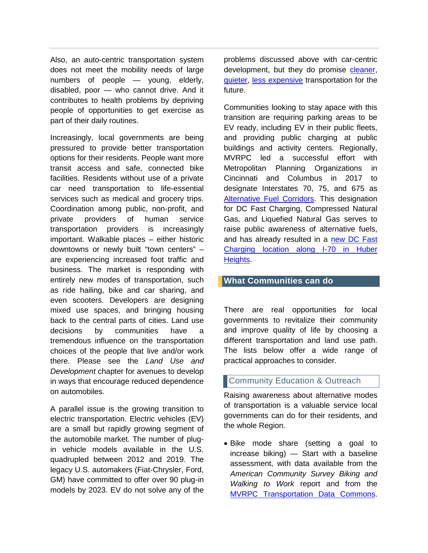Also, an auto-centric transportation system does not meet the mobility needs of large numbers of people — young, elderly, disabled, poor — who cannot drive. And it contributes to health problems by depriving people of opportunities to get exercise as part of their daily routines.

Increasingly, local governments are being pressured to provide better transportation options for their residents. People want more transit access and safe, connected bike facilities. Residents without use of a private car need transportation to life-essential services such as medical and grocery trips. Coordination among public, non-profit, and private providers of human service transportation providers is increasingly important. Walkable places – either historic downtowns or newly built "town centers" – are experiencing increased foot traffic and business. The market is responding with entirely new modes of transportation, such as ride hailing, bike and car sharing, and even scooters. Developers are designing mixed use spaces, and bringing housing back to the central parts of cities. Land use decisions by communities have a tremendous influence on the transportation choices of the people that live and/or work there. Please see the *Land Use and Development* chapter for avenues to develop in ways that encourage reduced dependence on automobiles.

A parallel issue is the growing transition to electric transportation. Electric vehicles (EV) are a small but rapidly growing segment of the automobile market. The number of plugin vehicle models available in the U.S. quadrupled between 2012 and 2019. The legacy U.S. automakers (Fiat-Chrysler, Ford, GM) have committed to offer over 90 plug-in models by 2023. EV do not solve any of the problems discussed above with car-centric development, but they do promise cleaner, quieter, [less expensive](https://evcharging.enelx.com/news/blog/570-electric-cars-vs-gas-cars-cost) transportation for the future.

Communities looking to stay apace with this transition are requiring parking areas to be EV ready, including EV in their public fleets, and providing public charging at public buildings and activity centers. Regionally, MVRPC led a successful effort with Metropolitan Planning Organizations in Cincinnati and Columbus in 2017 to designate Interstates 70, 75, and 675 as [Alternative Fuel Corridors.](https://www.fhwa.dot.gov/environment/alternative_fuel_corridors/) This designation for DC Fast Charging, Compressed Natural Gas, and Liquefied Natural Gas serves to raise public awareness of alternative fuels, and has already resulted in a [new DC Fast](https://afdc.energy.gov/stations/#/station/123637)  [Charging location along I-70 in Huber](https://afdc.energy.gov/stations/#/station/123637)  [Heights.](https://afdc.energy.gov/stations/#/station/123637)

## **What Communities can do**

There are real opportunities for local governments to revitalize their community and improve quality of life by choosing a different transportation and land use path. The lists below offer a wide range of practical approaches to consider.

# **Community Education & Outreach**

Raising awareness about alternative modes of transportation is a valuable service local governments can do for their residents, and the whole Region.

• Bike mode share (setting a goal to increase biking) — Start with a baseline assessment, with data available from the *American Community Survey Biking and Walking to Work* report and from the [MVRPC Transportation Data Commons.](https://www.mvrpc.org/data-mapping/miami-valley-data-commons)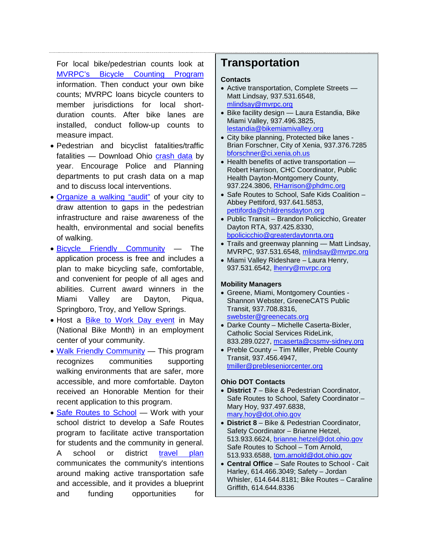For local bike/pedestrian counts look at [MVRPC's Bicycle Counting Program](https://www.mvrpc.org/transportation/traffic-count-program/bicycle-counting-program) information. Then conduct your own bike counts; MVRPC loans bicycle counters to member jurisdictions for local shortduration counts. After bike lanes are installed, conduct follow-up counts to measure impact.

- Pedestrian and bicyclist fatalities/traffic fatalities — Download Ohio [crash data](https://www.mvrpc.org/transportation/transportation-safety/summary-crashes-2014-2016) by year. Encourage Police and Planning departments to put crash data on a map and to discuss local interventions.
- [Organize a walking "audit"](https://www.mvrpc.org/transportation/bikeways-pedestrians/walkability-audits) of your city to draw attention to gaps in the pedestrian infrastructure and raise awareness of the health, environmental and social benefits of walking.
- [Bicycle Friendly Community](https://bikeleague.org/community) The application process is free and includes a plan to make bicycling safe, comfortable, and convenient for people of all ages and abilities. Current award winners in the Miami Valley are Dayton, Piqua, Springboro, Troy, and Yellow Springs.
- Host a [Bike to Work Day event](https://www.bikeleague.org/BikeMonthGuide) in May (National Bike Month) in an employment center of your community.
- [Walk Friendly Community](http://walkfriendly.org/) This program recognizes communities supporting walking environments that are safer, more accessible, and more comfortable. Dayton received an Honorable Mention for their recent application to this program.
- [Safe Routes to School](http://www.dot.state.oh.us/Divisions/Planning/ProgramManagement/HighwaySafety/ActiveTransportation/Pages/SRTS.aspx) Work with your school district to develop a Safe Routes program to facilitate active transportation for students and the community in general. A school or district [travel plan](http://www.dot.state.oh.us/Divisions/Planning/ProgramManagement/HighwaySafety/ActiveTransportation/Pages/Develop_SRTS_Program.aspx) communicates the community's intentions around making active transportation safe and accessible, and it provides a blueprint and funding opportunities for

# **Transportation**

#### **Contacts**

- Active transportation, Complete Streets Matt Lindsay, 937.531.6548, [mlindsay@mvrpc.org](mailto:mlindsay@mvrpc.org)
- Bike facility design Laura Estandia, Bike Miami Valley, 937.496.3825, [lestandia@bikemiamivalley.org](mailto:lestandia@bikemiamivalley.org)
- City bike planning, Protected bike lanes Brian Forschner, City of Xenia, 937.376.7285 [bforschner@ci.xenia.oh.us](mailto:bforschner@ci.xenia.oh.us)
- Health benefits of active transportation Robert Harrison, CHC Coordinator, Public Health Dayton-Montgomery County, 937.224.3806, [RHarrison@phdmc.org](mailto:RHarrison@phdmc.org)
- Safe Routes to School, Safe Kids Coalition Abbey Pettiford, 937.641.5853, [pettiforda@childrensdayton.org](mailto:pettiforda@childrensdayton.org)
- Public Transit Brandon Policicchio, Greater Dayton RTA, 937.425.8330, [bpolicicchio@greaterdaytonrta.org](mailto:bpolicicchio@greaterdaytonrta.org)
- Trails and greenway planning Matt Lindsay, MVRPC, 937.531.6548, [mlindsay@mvrpc.org](mailto:mlindsay@mvrpc.org)
- Miami Valley Rideshare Laura Henry, 937.531.6542, [lhenry@mvrpc.org](mailto:lhenry@mvrpc.org)

#### **Mobility Managers**

- Greene, Miami, Montgomery Counties Shannon Webster, GreeneCATS Public Transit, 937.708.8316, [swebster@greenecats.org](mailto:swebster@greenecats.org)
- Darke County Michelle Caserta-Bixler, Catholic Social Services RideLink, 833.289.0227, [mcaserta@cssmv-sidney.org](mailto:mcaserta@cssmv-sidney.org)
- Preble County Tim Miller, Preble County Transit, 937.456.4947, [tmiller@prebleseniorcenter.org](mailto:tmiller@prebleseniorcenter.org)

#### **Ohio DOT Contacts**

- **District 7** Bike & Pedestrian Coordinator, Safe Routes to School, Safety Coordinator – Mary Hoy, 937.497.6838, [mary.hoy@dot.ohio.gov](mailto:mary.hoy@dot.ohio.gov)
- **District 8**  Bike & Pedestrian Coordinator, Safety Coordinator – Brianne Hetzel, 513.933.6624, [brianne.hetzel@dot.ohio.gov](mailto:brianne.hetzel@dot.ohio.gov) Safe Routes to School – Tom Arnold, 513.933.6588, [tom.arnold@dot.ohio.gov](mailto:tom.arnold@dot.ohio.gov)
- **Central Office** Safe Routes to School Cait Harley, 614.466.3049; Safety – Jordan Whisler, 614.644.8181; Bike Routes – Caraline Griffith, 614.644.8336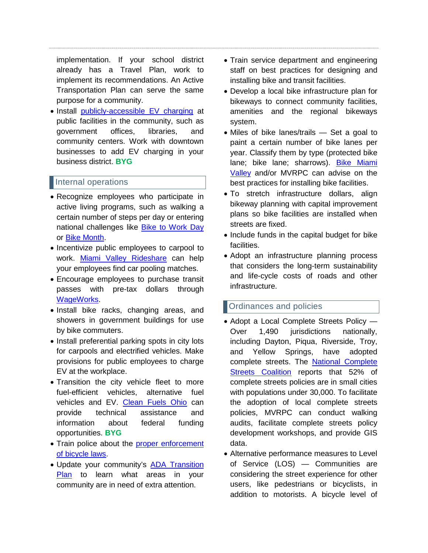implementation. If your school district already has a Travel Plan, work to implement its recommendations. An Active Transportation Plan can serve the same purpose for a community.

• Install [publicly-accessible EV charging](https://afdc.energy.gov/fuels/electricity_charging_public.html) at public facilities in the community, such as government offices, libraries, and community centers. Work with downtown businesses to add EV charging in your business district. **BYG**

# Internal operations

- Recognize employees who participate in active living programs, such as walking a certain number of steps per day or entering national challenges like [Bike to Work Day](https://www.bikeleague.org/BikeMonthGuide) or [Bike Month.](https://www.bikeleague.org/bikemonth)
- Incentivize public employees to carpool to work. [Miami Valley Rideshare](https://www.mvrpc.org/transportation/miami-valley-rideshare) can help your employees find car pooling matches.
- Encourage employees to purchase transit passes with pre-tax dollars through [WageWorks.](https://www.wageworks.com/employees/commuter-benefit-accounts/commuter-transit-account/)
- Install bike racks, changing areas, and showers in government buildings for use by bike commuters.
- Install preferential parking spots in city lots for carpools and electrified vehicles. Make provisions for public employees to charge EV at the workplace.
- Transition the city vehicle fleet to more fuel-efficient vehicles, alternative fuel vehicles and EV. [Clean Fuels Ohio](https://www.cleanfuelsohio.org/fleet-services) can provide technical assistance and information about federal funding opportunities. **BYG**
- Train police about the [proper enforcement](http://ipmba.org/blog/comments/practical-tips-for-enforcement-based-education)  [of bicycle laws.](http://ipmba.org/blog/comments/practical-tips-for-enforcement-based-education)
- Update your community's **ADA Transition** [Plan](http://www.dot.state.oh.us/Divisions/Planning/LocalPrograms/LTAP/Pages/ADA-Transition-Plan.aspx) to learn what areas in your community are in need of extra attention.
- Train service department and engineering staff on best practices for designing and installing bike and transit facilities.
- Develop a local bike infrastructure plan for bikeways to connect community facilities, amenities and the regional bikeways system.
- Miles of bike lanes/trails Set a goal to paint a certain number of bike lanes per year. Classify them by type (protected bike lane; bike lane; sharrows). Bike [Miami](http://www.bikemiamivalley.org/)  [Valley](http://www.bikemiamivalley.org/) and/or MVRPC can advise on the best practices for installing bike facilities.
- To stretch infrastructure dollars, align bikeway planning with capital improvement plans so bike facilities are installed when streets are fixed.
- Include funds in the capital budget for bike facilities.
- Adopt an infrastructure planning process that considers the long-term sustainability and life-cycle costs of roads and other infrastructure.

# Ordinances and policies

- Adopt a Local Complete Streets Policy Over 1,490 iurisdictions nationally, including Dayton, Piqua, Riverside, Troy, and Yellow Springs, have adopted complete streets. The [National Complete](https://smartgrowthamerica.org/program/national-complete-streets-coalition/)  [Streets Coalition](https://smartgrowthamerica.org/program/national-complete-streets-coalition/) reports that 52% of complete streets policies are in small cities with populations under 30,000. To facilitate the adoption of local complete streets policies, MVRPC can conduct walking audits, facilitate complete streets policy development workshops, and provide GIS data.
- Alternative performance measures to Level of Service (LOS) — Communities are considering the street experience for other users, like pedestrians or bicyclists, in addition to motorists. A bicycle level of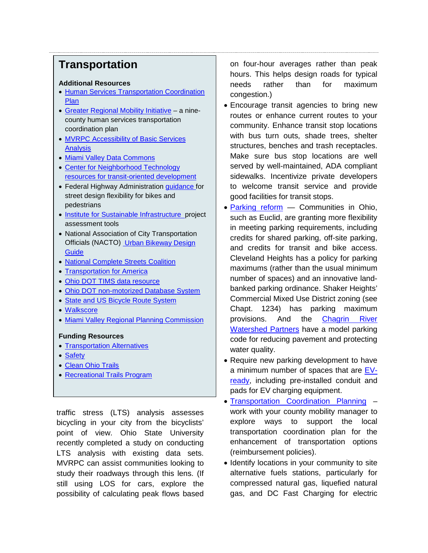# **Transportation**

#### **Additional Resources**

- [Human Services Transportation Coordination](https://www.mvrpc.org/transportation/services-non-drivers/human-services-transportation-coordination-hstc-plan)  [Plan](https://www.mvrpc.org/transportation/services-non-drivers/human-services-transportation-coordination-hstc-plan)
- [Greater Regional Mobility Initiative](https://www.mvrpc.org/transportation/services-non-drivers/greater-regional-mobility-initiative) a ninecounty human services transportation coordination plan
- [MVRPC Accessibility of Basic Services](https://www.mvrpc.org/transportation/2040-lrtp-transportation-projects-background-and-information/lrtp-accessibility-analysis)  **[Analysis](https://www.mvrpc.org/transportation/2040-lrtp-transportation-projects-background-and-information/lrtp-accessibility-analysis)**
- [Miami Valley Data Commons](https://www.mvrpc.org/data-mapping/miami-valley-data-commons)
- [Center for Neighborhood Technology](http://www.cnt.org/transit-oriented-development)  [resources for transit-oriented development](http://www.cnt.org/transit-oriented-development)
- Federal Highway Administration [guidance f](http://www.fhwa.dot.gov/environment/bicycle_pedestrian/guidance/design_guidance/design_flexibility.cfm)or street design flexibility for bikes and pedestrians
- Institute [for Sustainable Infrastructure p](https://www.sustainableinfrastructure.org/index.cfm)roject assessment tools
- National Association of City Transportation Officials (NACTO) [Urban Bikeway Design](http://nacto.org/publication/urban-bikeway-design-guide/)  **Guide**
- [National Complete Streets Coalition](http://www.smartgrowthamerica.org/complete-streets)
- [Transportation](http://www.t4america.org/) for America
- [Ohio DOT TIMS data resource](https://gis.dot.state.oh.us/tims)
- [Ohio DOT non-motorized Database System](https://odot.ms2soft.com/tdms.ui/nmds/dashboard/index?loc=odot)
- [State and US Bicycle Route System](http://www.dot.state.oh.us/Divisions/Planning/ProgramManagement/HighwaySafety/ActiveTransportation/Pages/State%20and%20US%20Bike%20Route%20System.aspx)
- [Walkscore](https://www.walkscore.com/)
- [Miami Valley Regional Planning Commission](http://www.mvrpc.org/)

## **Funding Resources**

- [Transportation Alternatives](http://www.dot.state.oh.us/Divisions/Planning/LocalPrograms/Pages/TAP.aspx)
- [Safety](http://www.dot.state.oh.us/Divisions/Planning/ProgramManagement/HighwaySafety/HSIP/Pages/Funding-Application-Process.aspx)
- [Clean Ohio Trails](https://development.ohio.gov/cleanohio/RecreationalTrails/)
- [Recreational Trails Program](http://realestate.ohiodnr.gov/outdoor-recreation-facility-grants)

traffic stress (LTS) analysis assesses bicycling in your city from the bicyclists' point of view. Ohio State University recently completed a study on conducting LTS analysis with existing data sets. MVRPC can assist communities looking to study their roadways through this lens. (If still using LOS for cars, explore the possibility of calculating peak flows based on four-hour averages rather than peak hours. This helps design roads for typical needs rather than for maximum congestion.)

- Encourage transit agencies to bring new routes or enhance current routes to your community. Enhance transit stop locations with bus turn outs, shade trees, shelter structures, benches and trash receptacles. Make sure bus stop locations are well served by well-maintained, ADA compliant sidewalks. Incentivize private developers to welcome transit service and provide good facilities for transit stops.
- [Parking reform](http://resources.cleanenergyroadmap.com/Parking_Code_Guidance_June_2012.pdf) Communities in Ohio, such as Euclid, are granting more flexibility in meeting parking requirements, including credits for shared parking, off-site parking, and credits for transit and bike access. Cleveland Heights has a policy for parking maximums (rather than the usual minimum number of spaces) and an innovative landbanked parking ordinance. Shaker Heights' Commercial Mixed Use District zoning (see Chapt. 1234) has parking maximum provisions. And the [Chagrin River](https://crwp.org/)  [Watershed Partners](https://crwp.org/) have a model parking code for reducing pavement and protecting water quality.
- Require new parking development to have a minimum number of spaces that are [EV](https://www.chargepoint.com/blog/contractors-guide-ev-ready-building-codes/)[ready,](https://www.chargepoint.com/blog/contractors-guide-ev-ready-building-codes/) including pre-installed conduit and pads for EV charging equipment.
- [Transportation Coordination Planning](https://www.mvrpc.org/transportation/services-non-drivers/human-services-transportation-coordination-hstc-plan) work with your county mobility manager to explore ways to support the local transportation coordination plan for the enhancement of transportation options (reimbursement policies).
- Identify locations in your community to site alternative fuels stations, particularly for compressed natural gas, liquefied natural gas, and DC Fast Charging for electric